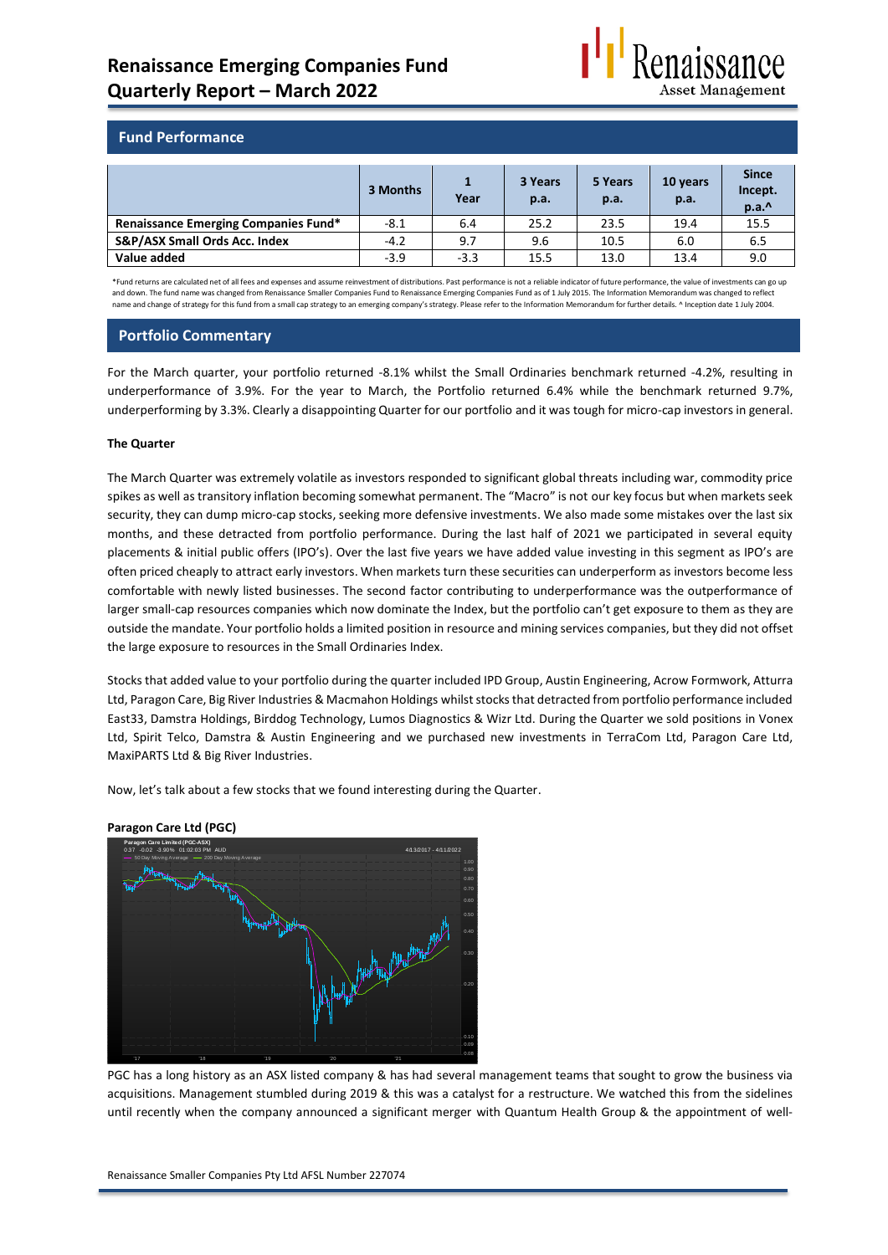

## **Fund Performance**

|                                             | 3 Months | Year   | 3 Years<br>p.a. | 5 Years<br>p.a. | 10 years<br>p.a. | <b>Since</b><br>Incept.<br>p.a.^ |
|---------------------------------------------|----------|--------|-----------------|-----------------|------------------|----------------------------------|
| <b>Renaissance Emerging Companies Fund*</b> | $-8.1$   | 6.4    | 25.2            | 23.5            | 19.4             | 15.5                             |
| S&P/ASX Small Ords Acc. Index               | $-4.2$   | 9.7    | 9.6             | 10.5            | 6.0              | 6.5                              |
| Value added                                 | $-3.9$   | $-3.3$ | 15.5            | 13.0            | 13.4             | 9.0                              |

\*Fund returns are calculated net of all fees and expenses and assume reinvestment of distributions. Past performance is not a reliable indicator of future performance, the value of investments can go up and down. The fund name was changed from Renaissance Smaller Companies Fund to Renaissance Emerging Companies Fund as of 1 July 2015. The Information Memorandum was changed to reflect name and change of strategy for this fund from a small cap strategy to an emerging company's strategy. Please refer to the Information Memorandum for further details. ^ Inception date 1 July 2004.

## **Portfolio Commentary**

For the March quarter, your portfolio returned -8.1% whilst the Small Ordinaries benchmark returned -4.2%, resulting in underperformance of 3.9%. For the year to March, the Portfolio returned 6.4% while the benchmark returned 9.7%, underperforming by 3.3%. Clearly a disappointing Quarter for our portfolio and it was tough for micro-cap investors in general.

### **The Quarter**

The March Quarter was extremely volatile as investors responded to significant global threats including war, commodity price spikes as well as transitory inflation becoming somewhat permanent. The "Macro" is not our key focus but when markets seek security, they can dump micro-cap stocks, seeking more defensive investments. We also made some mistakes over the last six months, and these detracted from portfolio performance. During the last half of 2021 we participated in several equity placements & initial public offers (IPO's). Over the last five years we have added value investing in this segment as IPO's are often priced cheaply to attract early investors. When markets turn these securities can underperform as investors become less comfortable with newly listed businesses. The second factor contributing to underperformance was the outperformance of larger small-cap resources companies which now dominate the Index, but the portfolio can't get exposure to them as they are outside the mandate. Your portfolio holds a limited position in resource and mining services companies, but they did not offset the large exposure to resources in the Small Ordinaries Index.

Stocks that added value to your portfolio during the quarter included IPD Group, Austin Engineering, Acrow Formwork, Atturra Ltd, Paragon Care, Big River Industries & Macmahon Holdings whilst stocks that detracted from portfolio performance included East33, Damstra Holdings, Birddog Technology, Lumos Diagnostics & Wizr Ltd. During the Quarter we sold positions in Vonex Ltd, Spirit Telco, Damstra & Austin Engineering and we purchased new investments in TerraCom Ltd, Paragon Care Ltd, MaxiPARTS Ltd & Big River Industries.

Now, let's talk about a few stocks that we found interesting during the Quarter.



**Paragon Care Ltd (PGC)**

PGC has a long history as an ASX listed company & has had several management teams that sought to grow the business via acquisitions. Management stumbled during 2019 & this was a catalyst for a restructure. We watched this from the sidelines until recently when the company announced a significant merger with Quantum Health Group & the appointment of well-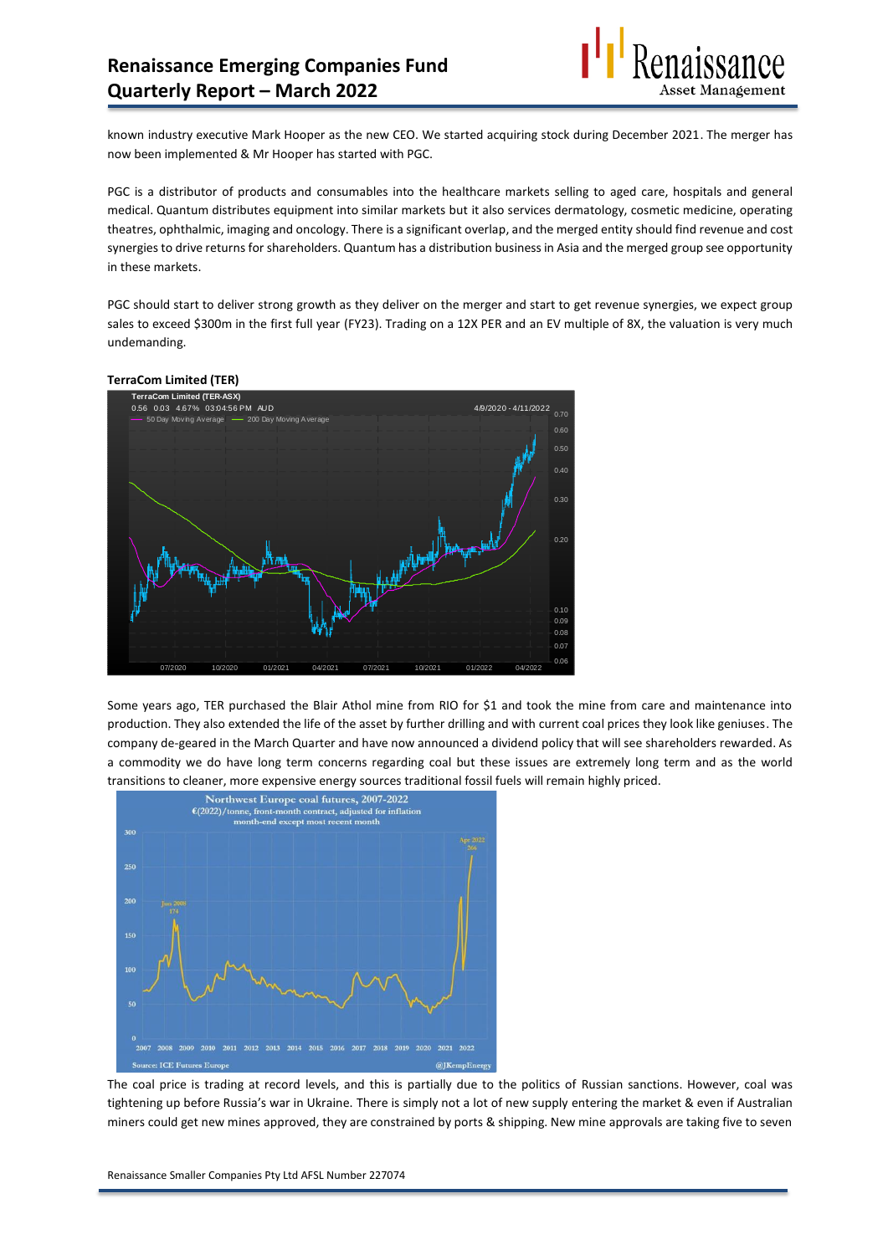

known industry executive Mark Hooper as the new CEO. We started acquiring stock during December 2021. The merger has now been implemented & Mr Hooper has started with PGC.

PGC is a distributor of products and consumables into the healthcare markets selling to aged care, hospitals and general medical. Quantum distributes equipment into similar markets but it also services dermatology, cosmetic medicine, operating theatres, ophthalmic, imaging and oncology. There is a significant overlap, and the merged entity should find revenue and cost synergies to drive returns for shareholders. Quantum has a distribution business in Asia and the merged group see opportunity in these markets.

PGC should start to deliver strong growth as they deliver on the merger and start to get revenue synergies, we expect group sales to exceed \$300m in the first full year (FY23). Trading on a 12X PER and an EV multiple of 8X, the valuation is very much undemanding.

#### **TerraCom Limited (TER)**



Some years ago, TER purchased the Blair Athol mine from RIO for \$1 and took the mine from care and maintenance into production. They also extended the life of the asset by further drilling and with current coal prices they look like geniuses. The company de-geared in the March Quarter and have now announced a dividend policy that will see shareholders rewarded. As a commodity we do have long term concerns regarding coal but these issues are extremely long term and as the world transitions to cleaner, more expensive energy sources traditional fossil fuels will remain highly priced.



The coal price is trading at record levels, and this is partially due to the politics of Russian sanctions. However, coal was tightening up before Russia's war in Ukraine. There is simply not a lot of new supply entering the market & even if Australian miners could get new mines approved, they are constrained by ports & shipping. New mine approvals are taking five to seven